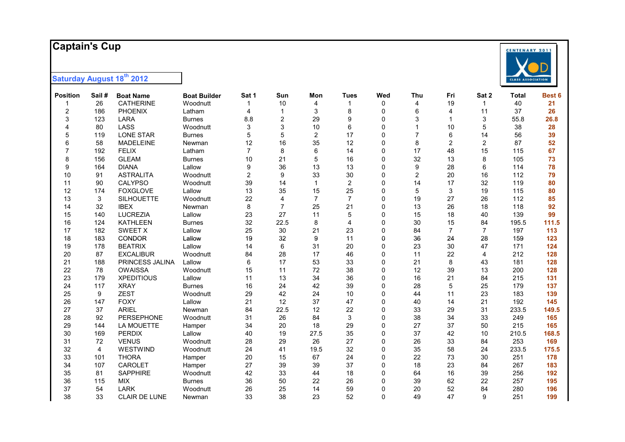# **Captain's Cup**

| <b>Position</b>  | Sail# | <b>Boat Name</b>  | <b>Boat Builder</b> | Sat 1          | Sun            | Mon            | <b>Tues</b>    | Wed          | Thu            | Fri            | Sat 2          | <b>Total</b> | Best 6 |
|------------------|-------|-------------------|---------------------|----------------|----------------|----------------|----------------|--------------|----------------|----------------|----------------|--------------|--------|
| 1                | 26    | <b>CATHERINE</b>  | Woodnutt            |                | 10             | 4              | 1              | 0            | 4              | 19             | $\mathbf{1}$   | 40           | 21     |
| $\boldsymbol{2}$ | 186   | PHOENIX           | Latham              | 4              | $\mathbf{1}$   | 3              | 8              | $\mathbf 0$  | 6              | 4              | 11             | 37           | 26     |
| 3                | 123   | <b>LARA</b>       | <b>Burnes</b>       | 8.8            | $\overline{2}$ | 29             | 9              | 0            | 3              | 1              | 3              | 55.8         | 26.8   |
| 4                | 80    | LASS              | Woodnutt            | 3              | 3              | 10             | 6              | $\Omega$     |                | 10             | 5              | 38           | 28     |
| 5                | 119   | <b>LONE STAR</b>  | <b>Burnes</b>       | 5              | 5              | $\overline{2}$ | 17             | $\Omega$     | $\overline{7}$ | 6              | 14             | 56           | 39     |
| 6                | 58    | <b>MADELEINE</b>  | Newman              | 12             | 16             | 35             | 12             | 0            | 8              | 2              | $\overline{c}$ | 87           | 52     |
| $\overline{7}$   | 192   | <b>FELIX</b>      | Latham              | $\overline{7}$ | 8              | 6              | 14             | $\Omega$     | 17             | 48             | 15             | 115          | 67     |
| 8                | 156   | <b>GLEAM</b>      | <b>Burnes</b>       | 10             | 21             | 5              | 16             | $\Omega$     | 32             | 13             | 8              | 105          | 73     |
| 9                | 164   | <b>DIANA</b>      | Lallow              | 9              | 36             | 13             | 13             | $\mathbf{0}$ | 9              | 28             | 6              | 114          | 78     |
| 10               | 91    | <b>ASTRALITA</b>  | Woodnutt            | $\overline{c}$ | 9              | 33             | 30             | 0            | $\overline{2}$ | 20             | 16             | 112          | 79     |
| 11               | 90    | <b>CALYPSO</b>    | Woodnutt            | 39             | 14             | $\mathbf{1}$   | $\overline{2}$ | $\Omega$     | 14             | 17             | 32             | 119          | 80     |
| 12               | 174   | <b>FOXGLOVE</b>   | Lallow              | 13             | 35             | 15             | 25             | 0            | 5              | 3              | 19             | 115          | 80     |
| 13               | 3     | <b>SILHOUETTE</b> | Woodnutt            | 22             | $\overline{4}$ | $\overline{7}$ | $\overline{7}$ | 0            | 19             | 27             | 26             | 112          | 85     |
| 14               | 32    | <b>IBEX</b>       | Newman              | 8              | $\overline{7}$ | 25             | 21             | 0            | 13             | 26             | 18             | 118          | 92     |
| 15               | 140   | <b>LUCREZIA</b>   | Lallow              | 23             | 27             | 11             | 5              | 0            | 15             | 18             | 40             | 139          | 99     |
| 16               | 124   | <b>KATHLEEN</b>   | <b>Burnes</b>       | 32             | 22.5           | 8              | $\overline{4}$ | 0            | 30             | 15             | 84             | 195.5        | 111.5  |
| 17               | 182   | <b>SWEET X</b>    | Lallow              | 25             | 30             | 21             | 23             | 0            | 84             | $\overline{7}$ | $\overline{7}$ | 197          | 113    |
| 18               | 183   | <b>CONDOR</b>     | Lallow              | 19             | 32             | 9              | 11             | 0            | 36             | 24             | 28             | 159          | 123    |
| 19               | 178   | <b>BEATRIX</b>    | Lallow              | 14             | 6              | 31             | 20             | $\mathbf 0$  | 23             | 30             | 47             | 171          | 124    |
| 20               | 87    | <b>EXCALIBUR</b>  | Woodnutt            | 84             | 28             | 17             | 46             | $\Omega$     | 11             | 22             | 4              | 212          | 128    |
| 21               | 188   | PRINCESS JALINA   | Lallow              | 6              | 17             | 53             | 33             | $\mathbf{0}$ | 21             | 8              | 43             | 181          | 128    |
| 22               | 78    | <b>OWAISSA</b>    | Woodnutt            | 15             | 11             | 72             | 38             | $\mathbf 0$  | 12             | 39             | 13             | 200          | 128    |
| 23               | 179   | <b>XPEDITIOUS</b> | Lallow              | 11             | 13             | 34             | 36             | $\Omega$     | 16             | 21             | 84             | 215          | 131    |
| 24               | 117   | <b>XRAY</b>       | <b>Burnes</b>       | 16             | 24             | 42             | 39             | 0            | 28             | 5              | 25             | 179          | 137    |
| 25               | 9     | <b>ZEST</b>       | Woodnutt            | 29             | 42             | 24             | 10             | 0            | 44             | 11             | 23             | 183          | 139    |
| 26               | 147   | <b>FOXY</b>       | Lallow              | 21             | 12             | 37             | 47             | 0            | 40             | 14             | 21             | 192          | 145    |
| 27               | 37    | <b>ARIEL</b>      | Newman              | 84             | 22.5           | 12             | 22             | 0            | 33             | 29             | 31             | 233.5        | 149.5  |
| 28               | 92    | <b>PERSEPHONE</b> | Woodnutt            | 31             | 26             | 84             | 3              | 0            | 38             | 34             | 33             | 249          | 165    |
| 29               | 144   | LA MOUETTE        | Hamper              | 34             | 20             | 18             | 29             | 0            | 27             | 37             | 50             | 215          | 165    |
| 30               | 169   | <b>PERDIX</b>     | Lallow              | 40             | 19             | 27.5           | 35             | 0            | 37             | 42             | 10             | 210.5        | 168.5  |
| 31               | 72    | <b>VENUS</b>      | Woodnutt            | 28             | 29             | 26             | 27             | 0            | 26             | 33             | 84             | 253          | 169    |
| 32               | 4     | WESTWIND          | Woodnutt            | 24             | 41             | 19.5           | 32             | 0            | 35             | 58             | 24             | 233.5        | 175.5  |
| 33               | 101   | <b>THORA</b>      | Hamper              | 20             | 15             | 67             | 24             | $\Omega$     | 22             | 73             | 30             | 251          | 178    |
| 34               | 107   | <b>CAROLET</b>    | Hamper              | 27             | 39             | 39             | 37             | $\Omega$     | 18             | 23             | 84             | 267          | 183    |
| 35               | 81    | <b>SAPPHIRE</b>   | Woodnutt            | 42             | 33             | 44             | 18             | $\mathbf 0$  | 64             | 16             | 39             | 256          | 192    |
| 36               | 115   | <b>MIX</b>        | <b>Burnes</b>       | 36             | 50             | 22             | 26             | $\Omega$     | 39             | 62             | 22             | 257          | 195    |
| 37               | 54    | <b>LARK</b>       | Woodnutt            | 26             | 25             | 14             | 59             | $\Omega$     | 20             | 52             | 84             | 280          | 196    |
| 38               | 33    | CLAIR DE LUNE     | Newman              | 33             | 38             | 23             | 52             | $\mathbf 0$  | 49             | 47             | 9              | 251          | 199    |

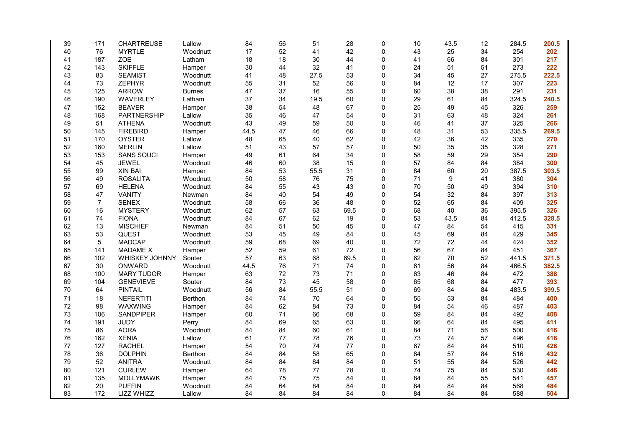| 39 | 171            | <b>CHARTREUSE</b> | Lallow         | 84   | 56 | 51   | 28   | 0        | 10 | 43.5 | 12 | 284.5 | 200.5 |
|----|----------------|-------------------|----------------|------|----|------|------|----------|----|------|----|-------|-------|
| 40 | 76             | <b>MYRTLE</b>     | Woodnutt       | 17   | 52 | 41   | 42   | 0        | 43 | 25   | 34 | 254   | 202   |
| 41 | 187            | <b>ZOE</b>        | Latham         | 18   | 18 | 30   | 44   | 0        | 41 | 66   | 84 | 301   | 217   |
| 42 | 143            | <b>SKIFFLE</b>    | Hamper         | 30   | 44 | 32   | 41   | 0        | 24 | 51   | 51 | 273   | 222   |
| 43 | 83             | <b>SEAMIST</b>    | Woodnutt       | 41   | 48 | 27.5 | 53   | 0        | 34 | 45   | 27 | 275.5 | 222.5 |
| 44 | 73             | ZEPHYR            | Woodnutt       | 55   | 31 | 52   | 56   | 0        | 84 | 12   | 17 | 307   | 223   |
| 45 | 125            | <b>ARROW</b>      | <b>Burnes</b>  | 47   | 37 | 16   | 55   | 0        | 60 | 38   | 38 | 291   | 231   |
| 46 | 190            | WAVERLEY          | Latham         | 37   | 34 | 19.5 | 60   | 0        | 29 | 61   | 84 | 324.5 | 240.5 |
| 47 | 152            | <b>BEAVER</b>     | Hamper         | 38   | 54 | 48   | 67   | 0        | 25 | 49   | 45 | 326   | 259   |
| 48 | 168            | PARTNERSHIP       | Lallow         | 35   | 46 | 47   | 54   | 0        | 31 | 63   | 48 | 324   | 261   |
| 49 | 51             | <b>ATHENA</b>     | Woodnutt       | 43   | 49 | 59   | 50   | 0        | 46 | 41   | 37 | 325   | 266   |
| 50 | 145            | <b>FIREBIRD</b>   | Hamper         | 44.5 | 47 | 46   | 66   | 0        | 48 | 31   | 53 | 335.5 | 269.5 |
| 51 | 170            | <b>OYSTER</b>     | Lallow         | 48   | 65 | 40   | 62   | 0        | 42 | 36   | 42 | 335   | 270   |
| 52 | 160            | <b>MERLIN</b>     | Lallow         | 51   | 43 | 57   | 57   | 0        | 50 | 35   | 35 | 328   | 271   |
| 53 | 153            | <b>SANS SOUCI</b> | Hamper         | 49   | 61 | 64   | 34   | 0        | 58 | 59   | 29 | 354   | 290   |
| 54 | 45             | <b>JEWEL</b>      | Woodnutt       | 46   | 60 | 38   | 15   | 0        | 57 | 84   | 84 | 384   | 300   |
| 55 | 99             | <b>XIN BAI</b>    | Hamper         | 84   | 53 | 55.5 | 31   | 0        | 84 | 60   | 20 | 387.5 | 303.5 |
| 56 | 49             | <b>ROSALITA</b>   | Woodnutt       | 50   | 58 | 76   | 75   | 0        | 71 | 9    | 41 | 380   | 304   |
| 57 | 69             | <b>HELENA</b>     | Woodnutt       | 84   | 55 | 43   | 43   | 0        | 70 | 50   | 49 | 394   | 310   |
| 58 | 47             | <b>VANITY</b>     | Newman         | 84   | 40 | 54   | 49   | 0        | 54 | 32   | 84 | 397   | 313   |
| 59 | $\overline{7}$ | <b>SENEX</b>      | Woodnutt       | 58   | 66 | 36   | 48   | 0        | 52 | 65   | 84 | 409   | 325   |
| 60 | 16             | <b>MYSTERY</b>    | Woodnutt       | 62   | 57 | 63   | 69.5 | 0        | 68 | 40   | 36 | 395.5 | 326   |
| 61 | 74             | <b>FIONA</b>      | Woodnutt       | 84   | 67 | 62   | 19   | 0        | 53 | 43.5 | 84 | 412.5 | 328.5 |
| 62 | 13             | <b>MISCHIEF</b>   | Newman         | 84   | 51 | 50   | 45   | 0        | 47 | 84   | 54 | 415   | 331   |
| 63 | 53             | <b>QUEST</b>      | Woodnutt       | 53   | 45 | 49   | 84   | $\Omega$ | 45 | 69   | 84 | 429   | 345   |
| 64 | 5              | <b>MADCAP</b>     | Woodnutt       | 59   | 68 | 69   | 40   | 0        | 72 | 72   | 44 | 424   | 352   |
| 65 | 141            | <b>MADAME X</b>   | Hamper         | 52   | 59 | 61   | 72   | 0        | 56 | 67   | 84 | 451   | 367   |
| 66 | 102            | WHISKEY JOHNNY    | Souter         | 57   | 63 | 68   | 69.5 | 0        | 62 | 70   | 52 | 441.5 | 371.5 |
| 67 | 30             | ONWARD            | Woodnutt       | 44.5 | 76 | 71   | 74   | 0        | 61 | 56   | 84 | 466.5 | 382.5 |
| 68 | 100            | <b>MARY TUDOR</b> | Hamper         | 63   | 72 | 73   | 71   | 0        | 63 | 46   | 84 | 472   | 388   |
| 69 | 104            | <b>GENEVIEVE</b>  | Souter         | 84   | 73 | 45   | 58   | 0        | 65 | 68   | 84 | 477   | 393   |
| 70 | 64             | <b>PINTAIL</b>    | Woodnutt       | 56   | 84 | 55.5 | 51   | 0        | 69 | 84   | 84 | 483.5 | 399.5 |
| 71 | 18             | <b>NEFERTITI</b>  | Berthon        | 84   | 74 | 70   | 64   | 0        | 55 | 53   | 84 | 484   | 400   |
| 72 | 98             | WAXWING           | Hamper         | 84   | 62 | 84   | 73   | $\Omega$ | 84 | 54   | 46 | 487   | 403   |
| 73 | 106            | <b>SANDPIPER</b>  | Hamper         | 60   | 71 | 66   | 68   | 0        | 59 | 84   | 84 | 492   | 408   |
| 74 | 191            | <b>JUDY</b>       | Perry          | 84   | 69 | 65   | 63   | 0        | 66 | 64   | 84 | 495   | 411   |
| 75 | 86             | <b>AORA</b>       | Woodnutt       | 84   | 84 | 60   | 61   | 0        | 84 | 71   | 56 | 500   | 416   |
| 76 | 162            | <b>XENIA</b>      | Lallow         | 61   | 77 | 78   | 76   | 0        | 73 | 74   | 57 | 496   | 418   |
| 77 | 127            | <b>RACHEL</b>     | Hamper         | 54   | 70 | 74   | 77   | 0        | 67 | 84   | 84 | 510   | 426   |
| 78 | 36             | <b>DOLPHIN</b>    | <b>Berthon</b> | 84   | 84 | 58   | 65   | 0        | 84 | 57   | 84 | 516   | 432   |
| 79 | 52             | <b>ANITRA</b>     | Woodnutt       | 84   | 84 | 84   | 84   | 0        | 51 | 55   | 84 | 526   | 442   |
| 80 | 121            | <b>CURLEW</b>     | Hamper         | 64   | 78 | 77   | 78   | 0        | 74 | 75   | 84 | 530   | 446   |
| 81 | 135            | <b>MOLLYMAWK</b>  | Hamper         | 84   | 75 | 75   | 84   | 0        | 84 | 84   | 55 | 541   | 457   |
| 82 | 20             | <b>PUFFIN</b>     | Woodnutt       | 84   | 64 | 84   | 84   | 0        | 84 | 84   | 84 | 568   | 484   |
| 83 | 172            | LIZZ WHIZZ        | Lallow         | 84   | 84 | 84   | 84   | 0        | 84 | 84   | 84 | 588   | 504   |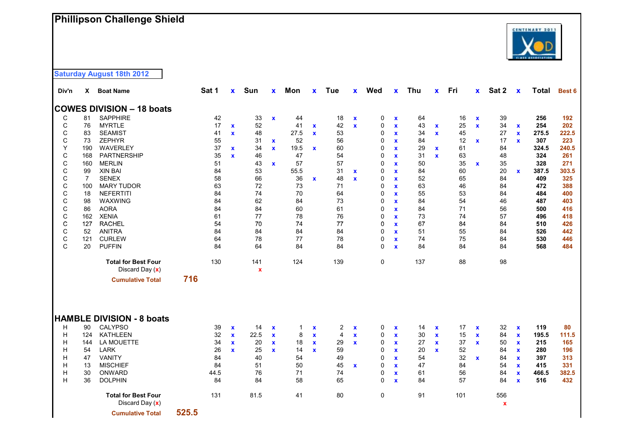### **Phillipson Challenge Shield**



**Saturday August 18th 2012** 

| Div'n                           |                                          | X Boat Name                                                                                                                        |       | Sat 1                                    | $\mathbf{x}$                                                | Sun                                      | $\mathbf x$                                                            | Mon                                  | $\mathbf{x}$                                                       | Tue                                  | $\mathbf{x}$                                                | Wed                             | $\mathbf{x}$                                                                                    | Thu                                        | $\mathbf{x}$                                               | Fri                                    | $\mathbf{x}$                                               | Sat 2                                  | $\mathbf x$                                                                                            | <b>Total</b>                                      | Best 6                                           |
|---------------------------------|------------------------------------------|------------------------------------------------------------------------------------------------------------------------------------|-------|------------------------------------------|-------------------------------------------------------------|------------------------------------------|------------------------------------------------------------------------|--------------------------------------|--------------------------------------------------------------------|--------------------------------------|-------------------------------------------------------------|---------------------------------|-------------------------------------------------------------------------------------------------|--------------------------------------------|------------------------------------------------------------|----------------------------------------|------------------------------------------------------------|----------------------------------------|--------------------------------------------------------------------------------------------------------|---------------------------------------------------|--------------------------------------------------|
|                                 |                                          | <b>COWES DIVISION - 18 boats</b>                                                                                                   |       |                                          |                                                             |                                          |                                                                        |                                      |                                                                    |                                      |                                                             |                                 |                                                                                                 |                                            |                                                            |                                        |                                                            |                                        |                                                                                                        |                                                   |                                                  |
| C                               | 81                                       | SAPPHIRE                                                                                                                           |       | 42                                       |                                                             | 33                                       | $\mathbf x$                                                            | 44                                   |                                                                    | 18                                   | $\mathbf x$                                                 | 0                               | $\mathbf x$                                                                                     | 64                                         |                                                            | 16                                     | $\mathbf x$                                                | 39                                     |                                                                                                        | 256                                               | 192                                              |
| $\mathsf{C}$                    | 76                                       | <b>MYRTLE</b>                                                                                                                      |       | 17                                       | $\mathbf{x}$                                                | 52                                       |                                                                        | 41                                   | $\mathbf x$                                                        | 42                                   | $\mathbf{x}$                                                | $\pmb{0}$                       | $\mathbf{x}$                                                                                    | 43                                         | $\mathbf x$                                                | 25                                     | $\mathbf{x}$                                               | 34                                     | $\mathbf x$                                                                                            | 254                                               | 202                                              |
| C                               | 83                                       | <b>SEAMIST</b>                                                                                                                     |       | 41                                       | $\mathbf{x}$                                                | 48                                       |                                                                        | 27.5                                 | $\mathbf{x}$                                                       | 53                                   |                                                             | 0                               | $\mathbf{x}$                                                                                    | 34                                         | $\mathbf x$                                                | 45                                     |                                                            | 27                                     | $\mathbf{x}$                                                                                           | 275.5                                             | 222.5                                            |
| $\mathsf{C}$                    | 73                                       | <b>ZEPHYR</b>                                                                                                                      |       | 55                                       |                                                             | 31                                       | $\mathbf x$                                                            | 52                                   |                                                                    | 56                                   |                                                             | $\Omega$                        | $\mathbf{x}$                                                                                    | 84                                         |                                                            | 12                                     | $\mathbf x$                                                | 17                                     | $\mathbf{x}$                                                                                           | 307                                               | 223                                              |
| Υ                               | 190                                      | WAVERLEY                                                                                                                           |       | 37                                       | $\mathbf x$                                                 | 34                                       | $\mathbf{x}$                                                           | 19.5                                 | $\mathbf{x}$                                                       | 60                                   |                                                             | 0                               | $\mathbf{x}$                                                                                    | 29                                         | $\mathbf x$                                                | 61                                     |                                                            | 84                                     |                                                                                                        | 324.5                                             | 240.5                                            |
| $\mathbf C$                     | 168                                      | PARTNERSHIP                                                                                                                        |       | 35                                       | $\mathbf{x}$                                                | 46                                       |                                                                        | 47                                   |                                                                    | 54                                   |                                                             | $\mathbf 0$                     | $\mathbf x$                                                                                     | 31                                         | $\mathbf{x}$                                               | 63                                     |                                                            | 48                                     |                                                                                                        | 324                                               | 261                                              |
| $\mathsf{C}$                    | 160                                      | <b>MERLIN</b>                                                                                                                      |       | 51                                       |                                                             | 43                                       | $\mathbf{x}$                                                           | 57                                   |                                                                    | 57                                   |                                                             | $\mathbf 0$                     | $\mathbf x$                                                                                     | 50                                         |                                                            | 35                                     | $\mathbf x$                                                | 35                                     |                                                                                                        | 328                                               | 271                                              |
| $\mathsf C$                     | 99                                       | <b>XIN BAI</b>                                                                                                                     |       | 84                                       |                                                             | 53                                       |                                                                        | 55.5                                 |                                                                    | 31                                   | $\mathbf x$                                                 | 0                               | $\mathbf x$                                                                                     | 84                                         |                                                            | 60                                     |                                                            | 20                                     | $\mathbf{x}$                                                                                           | 387.5                                             | 303.5                                            |
| $\mathsf C$                     | 7                                        | <b>SENEX</b>                                                                                                                       |       | 58                                       |                                                             | 66                                       |                                                                        | 36                                   | $\mathbf x$                                                        | 48                                   | $\mathbf{x}$                                                | 0                               | $\mathbf{x}$                                                                                    | 52                                         |                                                            | 65                                     |                                                            | 84                                     |                                                                                                        | 409                                               | 325                                              |
| $\mathsf C$                     | 100                                      | <b>MARY TUDOR</b>                                                                                                                  |       | 63                                       |                                                             | 72                                       |                                                                        | 73                                   |                                                                    | 71                                   |                                                             | 0                               | $\mathbf x$                                                                                     | 63                                         |                                                            | 46                                     |                                                            | 84                                     |                                                                                                        | 472                                               | 388                                              |
| $\mathsf C$                     | 18                                       | <b>NEFERTITI</b>                                                                                                                   |       | 84                                       |                                                             | 74                                       |                                                                        | 70                                   |                                                                    | 64                                   |                                                             | 0                               | $\mathbf x$                                                                                     | 55                                         |                                                            | 53                                     |                                                            | 84                                     |                                                                                                        | 484                                               | 400                                              |
| $\mathsf{C}$                    | 98                                       | WAXWING                                                                                                                            |       | 84                                       |                                                             | 62                                       |                                                                        | 84                                   |                                                                    | 73                                   |                                                             | 0                               | $\mathbf{x}$                                                                                    | 84                                         |                                                            | 54                                     |                                                            | 46                                     |                                                                                                        | 487                                               | 403                                              |
| C                               | 86                                       | <b>AORA</b>                                                                                                                        |       | 84                                       |                                                             | 84                                       |                                                                        | 60                                   |                                                                    | 61                                   |                                                             | 0                               | $\mathbf{x}$                                                                                    | 84                                         |                                                            | 71                                     |                                                            | 56                                     |                                                                                                        | 500                                               | 416                                              |
| C                               | 162                                      | <b>XENIA</b>                                                                                                                       |       | 61                                       |                                                             | 77                                       |                                                                        | 78                                   |                                                                    | 76                                   |                                                             | $\mathbf 0$                     | $\mathbf{x}$                                                                                    | 73                                         |                                                            | 74                                     |                                                            | 57                                     |                                                                                                        | 496                                               | 418                                              |
| $\mathsf C$                     | 127                                      | <b>RACHEL</b>                                                                                                                      |       | 54                                       |                                                             | 70                                       |                                                                        | 74                                   |                                                                    | 77                                   |                                                             | 0                               | $\mathbf{x}$                                                                                    | 67                                         |                                                            | 84                                     |                                                            | 84                                     |                                                                                                        | 510                                               | 426                                              |
| $\mathsf C$                     | 52                                       | <b>ANITRA</b>                                                                                                                      |       | 84                                       |                                                             | 84                                       |                                                                        | 84                                   |                                                                    | 84                                   |                                                             | 0                               | $\mathbf{x}$                                                                                    | 51                                         |                                                            | 55                                     |                                                            | 84                                     |                                                                                                        | 526                                               | 442                                              |
| $\mathsf C$                     | 121                                      | <b>CURLEW</b>                                                                                                                      |       | 64                                       |                                                             | 78                                       |                                                                        | 77                                   |                                                                    | 78                                   |                                                             | 0                               | $\mathbf x$                                                                                     | 74                                         |                                                            | 75                                     |                                                            | 84                                     |                                                                                                        | 530                                               | 446                                              |
| $\mathsf{C}$                    | 20                                       | <b>PUFFIN</b>                                                                                                                      |       | 84                                       |                                                             | 64                                       |                                                                        | 84                                   |                                                                    | 84                                   |                                                             | $\Omega$                        | $\mathbf{x}$                                                                                    | 84                                         |                                                            | 84                                     |                                                            | 84                                     |                                                                                                        | 568                                               | 484                                              |
|                                 |                                          | <b>Total for Best Four</b><br>Discard Day (x)                                                                                      |       | 130                                      |                                                             | 141<br>$\mathbf x$                       |                                                                        | 124                                  |                                                                    | 139                                  |                                                             | 0                               |                                                                                                 | 137                                        |                                                            | 88                                     |                                                            | 98                                     |                                                                                                        |                                                   |                                                  |
|                                 |                                          | <b>Cumulative Total</b>                                                                                                            | 716   |                                          |                                                             |                                          |                                                                        |                                      |                                                                    |                                      |                                                             |                                 |                                                                                                 |                                            |                                                            |                                        |                                                            |                                        |                                                                                                        |                                                   |                                                  |
| H<br>Н<br>H<br>H<br>Н<br>Н<br>Н | 90<br>124<br>144<br>54<br>47<br>13<br>30 | <b>HAMBLE DIVISION - 8 boats</b><br>CALYPSO<br><b>KATHLEEN</b><br>LA MOUETTE<br><b>LARK</b><br>VANITY<br><b>MISCHIEF</b><br>ONWARD |       | 39<br>32<br>34<br>26<br>84<br>84<br>44.5 | $\mathbf x$<br>$\mathbf{x}$<br>$\mathbf{x}$<br>$\mathbf{x}$ | 14<br>22.5<br>20<br>25<br>40<br>51<br>76 | $\boldsymbol{\mathsf{x}}$<br>$\mathbf x$<br>$\mathbf x$<br>$\mathbf x$ | 1<br>8<br>18<br>14<br>54<br>50<br>71 | $\pmb{\mathsf{x}}$<br>$\mathbf{x}$<br>$\mathbf{x}$<br>$\mathbf{x}$ | 2<br>4<br>29<br>59<br>49<br>45<br>74 | $\pmb{\chi}$<br>$\mathbf x$<br>$\mathbf{x}$<br>$\mathbf{x}$ | 0<br>0<br>0<br>0<br>0<br>0<br>0 | X<br>$\mathbf{x}$<br>$\mathbf{x}$<br>$\mathbf x$<br>$\mathbf{x}$<br>$\mathbf{x}$<br>$\mathbf x$ | 14<br>$30\,$<br>27<br>20<br>54<br>47<br>61 | $\mathbf x$<br>$\mathbf x$<br>$\mathbf{x}$<br>$\mathbf{x}$ | 17<br>15<br>37<br>52<br>32<br>84<br>56 | $\mathbf x$<br>$\mathbf x$<br>$\mathbf{x}$<br>$\mathbf{x}$ | 32<br>84<br>50<br>84<br>84<br>54<br>84 | $\mathbf x$<br>$\mathbf x$<br>$\mathbf x$<br>$\mathbf x$<br>$\mathbf{x}$<br>$\mathbf x$<br>$\mathbf x$ | 119<br>195.5<br>215<br>280<br>397<br>415<br>466.5 | 80<br>111.5<br>165<br>196<br>313<br>331<br>382.5 |
| H                               | 36                                       | <b>DOLPHIN</b>                                                                                                                     |       | 84                                       |                                                             | 84                                       |                                                                        | 58                                   |                                                                    | 65                                   |                                                             | $\Omega$                        | $\mathbf x$                                                                                     | 84                                         |                                                            | 57                                     |                                                            | 84                                     | $\mathbf x$                                                                                            | 516                                               | 432                                              |
|                                 |                                          | <b>Total for Best Four</b><br>Discard Day (x)<br><b>Cumulative Total</b>                                                           | 525.5 | 131                                      |                                                             | 81.5                                     |                                                                        | 41                                   |                                                                    | 80                                   |                                                             | 0                               |                                                                                                 | 91                                         |                                                            | 101                                    |                                                            | 556<br>$\pmb{\mathsf{x}}$              |                                                                                                        |                                                   |                                                  |
|                                 |                                          |                                                                                                                                    |       |                                          |                                                             |                                          |                                                                        |                                      |                                                                    |                                      |                                                             |                                 |                                                                                                 |                                            |                                                            |                                        |                                                            |                                        |                                                                                                        |                                                   |                                                  |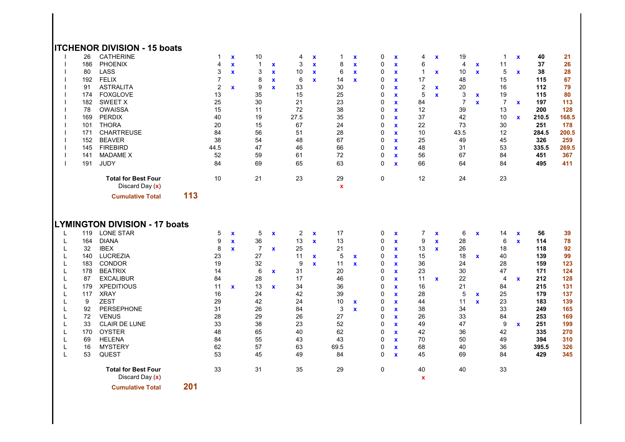#### **ITCHENOR DIVISION - 15 boats**

|        | 26  | <b>CATHERINE</b>                                         |     | 1              | $\mathbf{x}$ | 10             |              | 4              | $\mathbf x$                 | 1                 | $\mathbf x$  | 0            | $\mathbf x$                        | 4                               | $\mathbf x$                       | 19             |              | $\mathbf{1}$   | $\mathbf{x}$                 | 40    | 21    |
|--------|-----|----------------------------------------------------------|-----|----------------|--------------|----------------|--------------|----------------|-----------------------------|-------------------|--------------|--------------|------------------------------------|---------------------------------|-----------------------------------|----------------|--------------|----------------|------------------------------|-------|-------|
|        | 186 | <b>PHOENIX</b>                                           |     | 4              | $\mathbf{x}$ | $\mathbf{1}$   | $\mathbf{x}$ | 3              | $\mathbf{x}$                | 8                 | $\mathbf{x}$ | $\mathbf 0$  | $\mathbf x$                        | 6                               |                                   | 4              | $\mathbf x$  | 11             |                              | 37    | 26    |
|        | 80  | LASS                                                     |     | 3              | $\mathbf{x}$ | 3              | $\mathbf x$  | 10             | $\mathbf x$                 | 6                 | $\mathbf{x}$ | $\mathbf 0$  | $\mathbf x$                        | $\overline{1}$                  | $\mathbf x$                       | 10             | $\mathbf{x}$ | 5              | $\mathbf{x}$                 | 38    | 28    |
|        | 192 | <b>FELIX</b>                                             |     | $\overline{7}$ |              | 8              | $\mathbf x$  | 6              | $\mathbf{x}$                | 14                | $\mathbf{x}$ | 0            | $\mathbf x$                        | 17                              |                                   | 48             |              | 15             |                              | 115   | 67    |
|        | 91  | <b>ASTRALITA</b>                                         |     | 2              | $\mathbf{x}$ | 9              | $\mathbf{x}$ | 33             |                             | 30                |              | 0            | $\mathbf x$                        | $\overline{2}$                  | $\mathbf x$                       | 20             |              | 16             |                              | 112   | 79    |
|        | 174 | <b>FOXGLOVE</b>                                          |     | 13             |              | 35             |              | 15             |                             | 25                |              | 0            | $\pmb{\mathsf{x}}$                 | 5                               | $\mathbf x$                       | 3              | $\mathbf x$  | 19             |                              | 115   | 80    |
|        | 182 | <b>SWEET X</b>                                           |     | 25             |              | 30             |              | 21             |                             | 23                |              | 0            | x                                  | 84                              |                                   | $\overline{7}$ | $\mathbf{x}$ | $\overline{7}$ | $\mathbf{x}$                 | 197   | 113   |
|        | 78  | <b>OWAISSA</b>                                           |     | 15             |              | 11             |              | 72             |                             | 38                |              | $\Omega$     | $\mathbf{x}$                       | 12                              |                                   | 39             |              | 13             |                              | 200   | 128   |
|        | 169 | <b>PERDIX</b>                                            |     | 40             |              | 19             |              | 27.5           |                             | 35                |              | $\mathbf 0$  | $\mathbf{x}$                       | 37                              |                                   | 42             |              | 10             | $\mathbf{x}$                 | 210.5 | 168.5 |
|        | 101 | <b>THORA</b>                                             |     | 20             |              | 15             |              | 67             |                             | 24                |              | $\mathbf 0$  | $\mathbf{x}$                       | 22                              |                                   | 73             |              | 30             |                              | 251   | 178   |
|        | 171 | <b>CHARTREUSE</b>                                        |     | 84             |              | 56             |              | 51             |                             | 28                |              | 0            | $\mathbf x$                        | 10                              |                                   | 43.5           |              | 12             |                              | 284.5 | 200.5 |
|        | 152 | <b>BEAVER</b>                                            |     | 38             |              | 54             |              | 48             |                             | 67                |              | 0            | $\mathbf x$                        | 25                              |                                   | 49             |              | 45             |                              | 326   | 259   |
|        | 145 | <b>FIREBIRD</b>                                          |     | 44.5           |              | 47             |              | 46             |                             | 66                |              | 0            | $\mathbf x$                        | 48                              |                                   | 31             |              | 53             |                              | 335.5 | 269.5 |
|        | 141 | <b>MADAME X</b>                                          |     | 52             |              | 59             |              | 61             |                             | 72                |              | 0            | <b>X</b>                           | 56                              |                                   | 67             |              | 84             |                              | 451   | 367   |
|        | 191 | <b>JUDY</b>                                              |     | 84             |              | 69             |              | 65             |                             | 63                |              | $\mathbf{0}$ | $\mathbf{x}$                       | 66                              |                                   | 64             |              | 84             |                              | 495   | 411   |
|        |     | <b>Total for Best Four</b><br>Discard Day (x)            |     | 10             |              | 21             |              | 23             |                             | 29<br>$\mathbf x$ |              | $\mathbf 0$  |                                    | 12                              |                                   | 24             |              | 23             |                              |       |       |
|        |     | <b>Cumulative Total</b>                                  | 113 |                |              |                |              |                |                             |                   |              |              |                                    |                                 |                                   |                |              |                |                              |       |       |
|        | 119 | <b>LYMINGTON DIVISION - 17 boats</b><br><b>LONE STAR</b> |     | 5              | $\mathbf{x}$ | 5              | $\mathbf{x}$ | $\overline{2}$ |                             | 17                |              | 0            |                                    | $\overline{7}$                  |                                   | 6              | $\mathbf x$  | 14             |                              | 56    | 39    |
| L<br>L | 164 | <b>DIANA</b>                                             |     | 9              | $\mathbf{x}$ | 36             |              | 13             | $\mathbf x$<br>$\mathbf{x}$ | 13                |              | $\Omega$     | $\pmb{\mathsf{x}}$<br>$\mathbf{x}$ | 9                               | $\pmb{\mathsf{x}}$<br>$\mathbf x$ | 28             |              | 6              | $\mathbf{x}$<br>$\mathbf{x}$ | 114   | 78    |
| L      | 32  | <b>IBEX</b>                                              |     | 8              | $\mathbf{x}$ | $\overline{7}$ | $\mathbf{x}$ | 25             |                             | 21                |              | $\mathbf 0$  | $\mathbf x$                        | 13                              | $\mathbf{x}$                      | 26             |              | 18             |                              | 118   | 92    |
|        | 140 | <b>LUCREZIA</b>                                          |     | 23             |              | 27             |              | 11             | $\mathbf{x}$                | 5                 | $\mathbf{x}$ | 0            | $\mathbf x$                        | 15                              |                                   | 18             | $\mathbf x$  | 40             |                              | 139   | 99    |
|        | 183 | <b>CONDOR</b>                                            |     | 19             |              | 32             |              | 9              | $\mathbf{x}$                | 11                | $\mathbf{x}$ | 0            | $\mathbf x$                        | 36                              |                                   | 24             |              | 28             |                              | 159   | 123   |
|        | 178 | <b>BEATRIX</b>                                           |     | 14             |              | 6              | $\mathbf{x}$ | 31             |                             | 20                |              | 0            | $\mathbf x$                        | 23                              |                                   | 30             |              | 47             |                              | 171   | 124   |
| L      | 87  | <b>EXCALIBUR</b>                                         |     | 84             |              | 28             |              | 17             |                             | 46                |              | 0            | $\mathbf{x}$                       | 11                              | $\mathbf{x}$                      | 22             |              | 4              | $\mathbf{x}$                 | 212   | 128   |
| L      | 179 | <b>XPEDITIOUS</b>                                        |     | 11             | $\mathbf{x}$ | 13             | $\mathbf{x}$ | 34             |                             | 36                |              | 0            | $\mathbf{x}$                       | 16                              |                                   | 21             |              | 84             |                              | 215   | 131   |
|        | 117 | <b>XRAY</b>                                              |     | 16             |              | 24             |              | 42             |                             | 39                |              | $\Omega$     | $\mathbf x$                        | 28                              |                                   | 5              | $\mathbf x$  | 25             |                              | 179   | 137   |
|        | 9   | <b>ZEST</b>                                              |     | 29             |              | 42             |              | 24             |                             | 10                | $\mathbf x$  | 0            | $\mathbf{x}$                       | 44                              |                                   | 11             | $\mathbf{x}$ | 23             |                              | 183   | 139   |
|        | 92  | PERSEPHONE                                               |     | 31             |              | 26             |              | 84             |                             | 3                 | $\mathbf{x}$ | 0            | $\mathbf x$                        | 38                              |                                   | 34             |              | 33             |                              | 249   | 165   |
|        | 72  | <b>VENUS</b>                                             |     | 28             |              | 29             |              | 26             |                             | 27                |              | 0            | $\mathbf x$                        | 26                              |                                   | 33             |              | 84             |                              | 253   | 169   |
|        | 33  | <b>CLAIR DE LUNE</b>                                     |     | 33             |              | 38             |              | 23             |                             | 52                |              | $\Omega$     | x                                  | 49                              |                                   | 47             |              | 9              | $\mathbf{x}$                 | 251   | 199   |
| L      | 170 | <b>OYSTER</b>                                            |     | 48             |              | 65             |              | 40             |                             | 62                |              | $\Omega$     | $\mathbf{x}$                       | 42                              |                                   | 36             |              | 42             |                              | 335   | 270   |
| L      | 69  | <b>HELENA</b>                                            |     | 84             |              | 55             |              | 43             |                             | 43                |              | $\Omega$     | $\mathbf{x}$                       | 70                              |                                   | 50             |              | 49             |                              | 394   | 310   |
|        | 16  | <b>MYSTERY</b>                                           |     | 62             |              | 57             |              | 63             |                             | 69.5              |              | $\Omega$     | $\mathbf x$                        | 68                              |                                   | 40             |              | 36             |                              | 395.5 | 326   |
| L      | 53  | QUEST                                                    |     | 53             |              | 45             |              | 49             |                             | 84                |              | $\Omega$     | $\mathbf{x}$                       | 45                              |                                   | 69             |              | 84             |                              | 429   | 345   |
|        |     | <b>Total for Best Four</b><br>Discard Day (x)            |     | 33             |              | 31             |              | 35             |                             | 29                |              | 0            |                                    | 40<br>$\boldsymbol{\mathsf{x}}$ |                                   | 40             |              | 33             |                              |       |       |
|        |     |                                                          | - - |                |              |                |              |                |                             |                   |              |              |                                    |                                 |                                   |                |              |                |                              |       |       |

**Cumulative Total 201**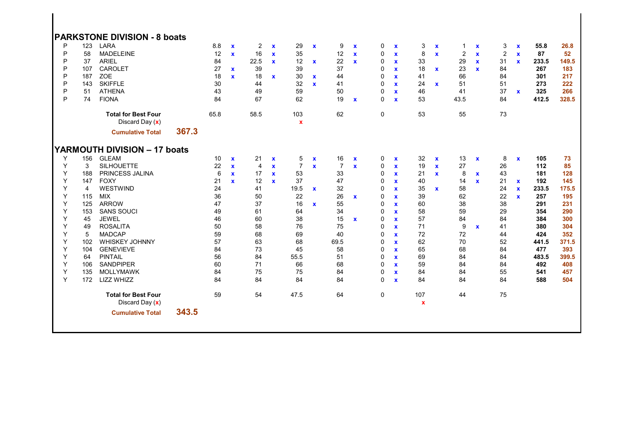|        |            | <b>PARKSTONE DIVISION - 8 boats</b>             |       |          |              |                         |              |                    |              |                |              |              |                             |          |                           |                |              |                |              |            |            |
|--------|------------|-------------------------------------------------|-------|----------|--------------|-------------------------|--------------|--------------------|--------------|----------------|--------------|--------------|-----------------------------|----------|---------------------------|----------------|--------------|----------------|--------------|------------|------------|
| P      | 123        | LARA                                            |       | 8.8      | $\mathbf{x}$ | $\overline{\mathbf{c}}$ | $\mathbf{x}$ | 29                 | $\mathbf{x}$ | 9              | $\mathbf x$  | 0            | $\mathbf x$                 | 3        | $\boldsymbol{\mathsf{x}}$ | $\mathbf{1}$   | $\mathbf x$  | 3              | $\mathbf x$  | 55.8       | 26.8       |
| P      | 58         | <b>MADELEINE</b>                                |       | 12       | $\mathbf{x}$ | 16                      | $\mathbf{x}$ | 35                 |              | 12             | $\mathbf{x}$ | 0            | $\mathbf x$                 | 8        | $\mathbf x$               | $\overline{2}$ | $\mathbf{x}$ | $\overline{c}$ | $\mathbf x$  | 87         | 52         |
| P      | 37         | <b>ARIEL</b>                                    |       | 84       |              | 22.5                    | $\mathbf{x}$ | 12                 | $\mathbf{x}$ | 22             | $\mathbf{x}$ | 0            | $\mathbf x$                 | 33       |                           | 29             | $\mathbf{x}$ | 31             | $\mathbf{x}$ | 233.5      | 149.5      |
| P      | 107        | CAROLET                                         |       | 27       | $\mathbf{x}$ | 39                      |              | 39                 |              | 37             |              | 0            | $\mathbf x$                 | 18       | $\mathbf x$               | 23             | $\mathbf{x}$ | 84             |              | 267        | 183        |
| P      | 187        | ZOE                                             |       | 18       | $\mathbf{x}$ | 18                      | $\mathbf{x}$ | 30                 | $\mathbf{x}$ | 44             |              | 0            | $\mathbf{x}$                | 41       |                           | 66             |              | 84             |              | 301        | 217        |
| P      | 143        | <b>SKIFFLE</b>                                  |       | 30       |              | 44                      |              | 32                 | $\mathbf{x}$ | 41             |              | 0            | $\mathbf x$                 | 24       | $\mathbf{x}$              | 51             |              | 51             |              | 273        | 222        |
| P      | 51         | <b>ATHENA</b>                                   |       | 43       |              | 49                      |              | 59                 |              | 50             |              | 0            | $\mathbf{x}$                | 46       |                           | 41             |              | 37             | $\mathbf{x}$ | 325        | 266        |
| P      | 74         | <b>FIONA</b>                                    |       | 84       |              | 67                      |              | 62                 |              | 19             | $\mathbf x$  | 0            | $\mathbf{x}$                | 53       |                           | 43.5           |              | 84             |              | 412.5      | 328.5      |
|        |            | <b>Total for Best Four</b><br>Discard Day $(x)$ |       | 65.8     |              | 58.5                    |              | 103<br>$\mathbf x$ |              | 62             |              | $\mathbf 0$  |                             | 53       |                           | 55             |              | 73             |              |            |            |
|        |            | <b>Cumulative Total</b>                         | 367.3 |          |              |                         |              |                    |              |                |              |              |                             |          |                           |                |              |                |              |            |            |
|        |            |                                                 |       |          |              |                         |              |                    |              |                |              |              |                             |          |                           |                |              |                |              |            |            |
|        |            | YARMOUTH DIVISION - 17 boats                    |       |          |              |                         |              |                    |              |                |              |              |                             |          |                           |                |              |                |              |            |            |
| Υ      | 156        | <b>GLEAM</b>                                    |       | 10       | $\mathbf{x}$ | 21                      | $\mathbf x$  | 5                  | $\mathbf x$  | 16             | $\mathbf x$  | 0            | $\mathbf x$                 | 32       | $\mathbf x$               | 13             | $\mathbf x$  | 8              | $\mathbf x$  | 105        | 73         |
| Y      | 3          | <b>SILHOUETTE</b>                               |       | 22       | $\mathbf{x}$ | $\overline{4}$          | $\mathbf{x}$ | $\overline{7}$     | $\mathbf{x}$ | $\overline{7}$ | $\mathbf{x}$ | 0            | $\mathbf x$                 | 19       | $\mathbf x$               | 27             |              | 26             |              | 112        | 85         |
| Υ      | 188        | PRINCESS JALINA                                 |       | 6        | $\mathbf{x}$ | 17                      | $\mathbf{x}$ | 53                 |              | 33             |              | 0            | $\mathbf{x}$                | 21       | $\mathbf x$               | 8              | $\mathbf{x}$ | 43             |              | 181        | 128        |
| Y      | 147        | <b>FOXY</b>                                     |       | 21       | $\mathbf{x}$ | 12                      | $\mathbf{x}$ | 37                 |              | 47             |              | 0            | $\mathbf x$                 | 40       |                           | 14             | $\mathbf{x}$ | 21             | $\mathbf{x}$ | 192        | 145        |
| Y      | 4          | WESTWIND                                        |       | 24       |              | 41                      |              | 19.5               | $\mathbf{x}$ | 32             |              | $\Omega$     | $\mathbf x$                 | 35       | $\mathbf x$               | 58             |              | 24             | $\mathbf{x}$ | 233.5      | 175.5      |
| Y<br>Y | 115        | <b>MIX</b><br><b>ARROW</b>                      |       | 36<br>47 |              | 50<br>37                |              | 22                 |              | 26<br>55       | $\mathbf x$  | 0            | $\mathbf x$                 | 39       |                           | 62<br>38       |              | 22             | $\mathbf{x}$ | 257        | 195<br>231 |
| Υ      | 125<br>153 | <b>SANS SOUCI</b>                               |       | 49       |              | 61                      |              | 16<br>64           | $\mathbf{x}$ | 34             |              | 0<br>0       | $\mathbf{x}$                | 60<br>58 |                           | 59             |              | 38<br>29       |              | 291<br>354 | 290        |
| Υ      | 45         | <b>JEWEL</b>                                    |       | 46       |              | 60                      |              | 38                 |              | 15             |              | 0            | $\mathbf{x}$                | 57       |                           |                |              | 84             |              | 384        | 300        |
| Y      | 49         | <b>ROSALITA</b>                                 |       | 50       |              | 58                      |              | 76                 |              | 75             | $\mathbf{x}$ | $\Omega$     | $\mathbf x$<br>$\mathbf{x}$ | 71       |                           | 84<br>9        | $\mathbf{x}$ | 41             |              | 380        | 304        |
| Y      | 5          | <b>MADCAP</b>                                   |       | 59       |              | 68                      |              | 69                 |              | 40             |              | $\Omega$     | $\mathbf x$                 | 72       |                           | 72             |              | 44             |              | 424        | 352        |
| Υ      | 102        | WHISKEY JOHNNY                                  |       | 57       |              | 63                      |              | 68                 |              | 69.5           |              | $\Omega$     | $\mathbf x$                 | 62       |                           | 70             |              | 52             |              | 441.5      | 371.5      |
| Y      | 104        | <b>GENEVIEVE</b>                                |       | 84       |              | 73                      |              | 45                 |              | 58             |              | $\Omega$     | $\mathbf{x}$                | 65       |                           | 68             |              | 84             |              | 477        | 393        |
| Υ      | 64         | <b>PINTAIL</b>                                  |       | 56       |              | 84                      |              | 55.5               |              | 51             |              | 0            | $\mathbf{x}$                | 69       |                           | 84             |              | 84             |              | 483.5      | 399.5      |
| Y      | 106        | <b>SANDPIPER</b>                                |       | 60       |              | 71                      |              | 66                 |              | 68             |              | 0            | $\mathbf{x}$                | 59       |                           | 84             |              | 84             |              | 492        | 408        |
| Υ      | 135        | <b>MOLLYMAWK</b>                                |       | 84       |              | 75                      |              | 75                 |              | 84             |              | $\Omega$     | $\mathbf x$                 | 84       |                           | 84             |              | 55             |              | 541        | 457        |
| Y      | 172        | LIZZ WHIZZ                                      |       | 84       |              | 84                      |              | 84                 |              | 84             |              | 0            | $\mathbf x$                 | 84       |                           | 84             |              | 84             |              | 588        | 504        |
|        |            | <b>Total for Best Four</b><br>Discard Day (x)   |       | 59       |              | 54                      |              | 47.5               |              | 64             |              | $\mathbf{0}$ |                             | 107<br>x |                           | 44             |              | 75             |              |            |            |
|        |            | <b>Cumulative Total</b>                         | 343.5 |          |              |                         |              |                    |              |                |              |              |                             |          |                           |                |              |                |              |            |            |
|        |            |                                                 |       |          |              |                         |              |                    |              |                |              |              |                             |          |                           |                |              |                |              |            |            |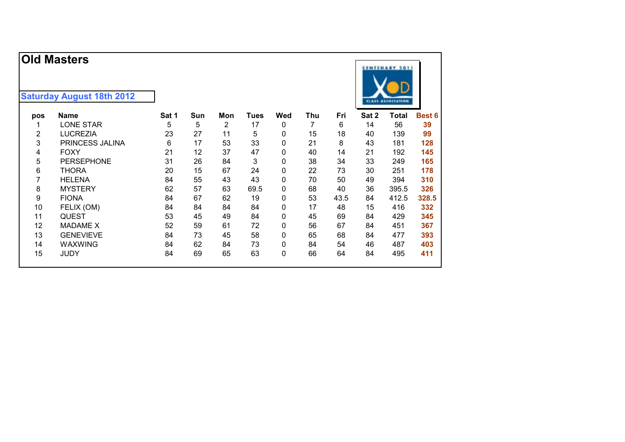#### **Saturday August 18th 2012**

| pos | Name                   | Sat 1 | Sun | Mon | Tues | Wed          | Thu | Fri  | Sat 2 | <b>Total</b> | <b>Best 6</b> |
|-----|------------------------|-------|-----|-----|------|--------------|-----|------|-------|--------------|---------------|
|     | <b>LONE STAR</b>       | 5     | 5   | 2   | 17   | 0            | 7   | 6    | 14    | 56           | 39            |
| 2   | <b>LUCREZIA</b>        | 23    | 27  | 11  | 5    | 0            | 15  | 18   | 40    | 139          | 99            |
| 3   | <b>PRINCESS JALINA</b> | 6     | 17  | 53  | 33   | 0            | 21  | 8    | 43    | 181          | 128           |
| 4   | <b>FOXY</b>            | 21    | 12  | 37  | 47   | 0            | 40  | 14   | 21    | 192          | 145           |
| 5   | <b>PERSEPHONE</b>      | 31    | 26  | 84  | 3    | 0            | 38  | 34   | 33    | 249          | 165           |
| 6   | <b>THORA</b>           | 20    | 15  | 67  | 24   | 0            | 22  | 73   | 30    | 251          | 178           |
|     | <b>HELENA</b>          | 84    | 55  | 43  | 43   | 0            | 70  | 50   | 49    | 394          | 310           |
| 8   | <b>MYSTERY</b>         | 62    | 57  | 63  | 69.5 | 0            | 68  | 40   | 36    | 395.5        | 326           |
| 9   | <b>FIONA</b>           | 84    | 67  | 62  | 19   | 0            | 53  | 43.5 | 84    | 412.5        | 328.5         |
| 10  | FELIX (OM)             | 84    | 84  | 84  | 84   | 0            | 17  | 48   | 15    | 416          | 332           |
| 11  | <b>QUEST</b>           | 53    | 45  | 49  | 84   | $\mathbf 0$  | 45  | 69   | 84    | 429          | 345           |
| 12  | <b>MADAME X</b>        | 52    | 59  | 61  | 72   | $\mathbf{0}$ | 56  | 67   | 84    | 451          | 367           |
| 13  | <b>GENEVIEVE</b>       | 84    | 73  | 45  | 58   | 0            | 65  | 68   | 84    | 477          | 393           |
| 14  | <b>WAXWING</b>         | 84    | 62  | 84  | 73   | 0            | 84  | 54   | 46    | 487          | 403           |
| 15  | <b>JUDY</b>            | 84    | 69  | 65  | 63   | 0            | 66  | 64   | 84    | 495          | 411           |

CENTENARY 2011

**CLASS ASSOCIATION**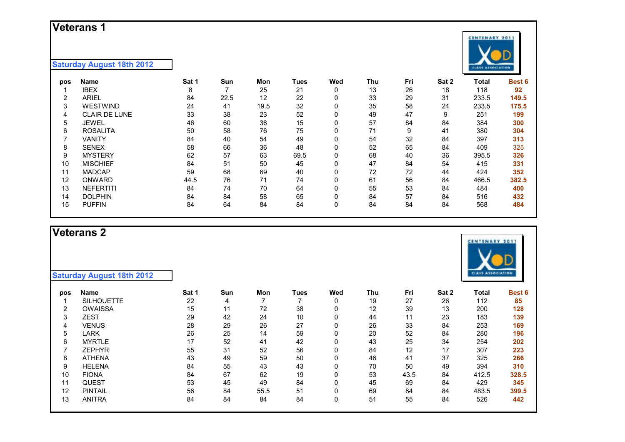#### **Veterans 1**

#### **Saturday August 18th 2012**

| pos | Name                 | Sat 1 | Sun  | Mon  | Tues | Wed | Thu | Fri | Sat 2 | Total | Best 6 |
|-----|----------------------|-------|------|------|------|-----|-----|-----|-------|-------|--------|
|     | <b>IBEX</b>          | 8     |      | 25   | 21   | 0   | 13  | 26  | 18    | 118   | 92     |
| 2   | <b>ARIEL</b>         | 84    | 22.5 | 12   | 22   | 0   | 33  | 29  | 31    | 233.5 | 149.5  |
| 3   | <b>WESTWIND</b>      | 24    | 41   | 19.5 | 32   | 0   | 35  | 58  | 24    | 233.5 | 175.5  |
| 4   | <b>CLAIR DE LUNE</b> | 33    | 38   | 23   | 52   | 0   | 49  | 47  | 9     | 251   | 199    |
| 5   | <b>JEWEL</b>         | 46    | 60   | 38   | 15   | 0   | 57  | 84  | 84    | 384   | 300    |
| 6   | <b>ROSALITA</b>      | 50    | 58   | 76   | 75   | 0   | 71  | 9   | 41    | 380   | 304    |
|     | VANITY               | 84    | 40   | 54   | 49   | 0   | 54  | 32  | 84    | 397   | 313    |
| 8   | <b>SENEX</b>         | 58    | 66   | 36   | 48   | 0   | 52  | 65  | 84    | 409   | 325    |
| 9   | <b>MYSTERY</b>       | 62    | 57   | 63   | 69.5 | 0   | 68  | 40  | 36    | 395.5 | 326    |
| 10  | <b>MISCHIEF</b>      | 84    | 51   | 50   | 45   | 0   | 47  | 84  | 54    | 415   | 331    |
| 11  | <b>MADCAP</b>        | 59    | 68   | 69   | 40   | 0   | 72  | 72  | 44    | 424   | 352    |
| 12  | ONWARD               | 44.5  | 76   | 71   | 74   | 0   | 61  | 56  | 84    | 466.5 | 382.5  |
| 13  | <b>NEFERTITI</b>     | 84    | 74   | 70   | 64   | 0   | 55  | 53  | 84    | 484   | 400    |
| 14  | <b>DOLPHIN</b>       | 84    | 84   | 58   | 65   | 0   | 84  | 57  | 84    | 516   | 432    |
| 15  | <b>PUFFIN</b>        | 84    | 64   | 84   | 84   | 0   | 84  | 84  | 84    | 568   | 484    |

### **Veterans 2**

| pos | <b>Name</b>       | Sat 1 | <b>Sun</b> | Mon  | Tues | Wed | Thu | Fri  | Sat 2 | Total | <b>Best 6</b> |
|-----|-------------------|-------|------------|------|------|-----|-----|------|-------|-------|---------------|
|     | <b>SILHOUETTE</b> | 22    | 4          |      |      | 0   | 19  | 27   | 26    | 112   | 85            |
| 2   | <b>OWAISSA</b>    | 15    | 11         | 72   | 38   | 0   | 12  | 39   | 13    | 200   | 128           |
| 3   | <b>ZEST</b>       | 29    | 42         | 24   | 10   | 0   | 44  | 11   | 23    | 183   | 139           |
| 4   | <b>VENUS</b>      | 28    | 29         | 26   | 27   | 0   | 26  | 33   | 84    | 253   | 169           |
| 5   | LARK              | 26    | 25         | 14   | 59   | 0   | 20  | 52   | 84    | 280   | 196           |
| 6   | <b>MYRTLE</b>     | 17    | 52         | 41   | 42   | 0   | 43  | 25   | 34    | 254   | 202           |
|     | <b>ZEPHYR</b>     | 55    | 31         | 52   | 56   | 0   | 84  | 12   | 17    | 307   | 223           |
| 8   | <b>ATHENA</b>     | 43    | 49         | 59   | 50   | 0   | 46  | 41   | 37    | 325   | 266           |
| 9   | <b>HELENA</b>     | 84    | 55         | 43   | 43   | 0   | 70  | 50   | 49    | 394   | 310           |
| 10  | <b>FIONA</b>      | 84    | 67         | 62   | 19   | 0   | 53  | 43.5 | 84    | 412.5 | 328.5         |
| 11  | <b>QUEST</b>      | 53    | 45         | 49   | 84   | 0   | 45  | 69   | 84    | 429   | 345           |
| 12  | <b>PINTAIL</b>    | 56    | 84         | 55.5 | 51   | 0   | 69  | 84   | 84    | 483.5 | 399.5         |
| 13  | <b>ANITRA</b>     | 84    | 84         | 84   | 84   | 0   | 51  | 55   | 84    | 526   | 442           |



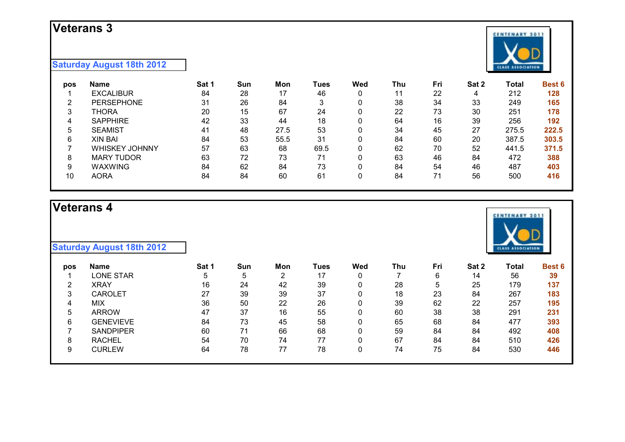### **Veterans 3**

#### **Saturday August 18th 2012**

| pos    | Name                  | Sat 1 | Sun | Mon  | Tues | Wed | Thu | Fri | Sat 2 | Total | <b>Best 6</b> |
|--------|-----------------------|-------|-----|------|------|-----|-----|-----|-------|-------|---------------|
|        | <b>EXCALIBUR</b>      | 84    | 28  | 17   | 46   | 0   | 11  | 22  | 4     | 212   | 128           |
| $\sim$ | <b>PERSEPHONE</b>     | 31    | 26  | 84   | 3    | 0   | 38  | 34  | 33    | 249   | 165           |
| 3      | THORA                 | 20    | 15  | 67   | 24   | 0   | 22  | 73  | 30    | 251   | 178           |
| 4      | <b>SAPPHIRE</b>       | 42    | 33  | 44   | 18   | 0   | 64  | 16  | 39    | 256   | 192           |
| 5      | <b>SEAMIST</b>        | 41    | 48  | 27.5 | 53   | 0   | 34  | 45  | 27    | 275.5 | 222.5         |
| 6      | <b>XIN BAI</b>        | 84    | 53  | 55.5 | 31   | 0   | 84  | 60  | 20    | 387.5 | 303.5         |
|        | <b>WHISKEY JOHNNY</b> | 57    | 63  | 68   | 69.5 | 0   | 62  | 70  | 52    | 441.5 | 371.5         |
| 8      | <b>MARY TUDOR</b>     | 63    | 72  | 73   | 71   | 0   | 63  | 46  | 84    | 472   | 388           |
| 9      | <b>WAXWING</b>        | 84    | 62  | 84   | 73   | 0   | 84  | 54  | 46    | 487   | 403           |
| 10     | <b>AORA</b>           | 84    | 84  | 60   | 61   | 0   | 84  | 71  | 56    | 500   | 416           |

# **Veterans 4**

| pos    | Name             | Sat 1 | Sun | Mon | Tues | Wed | Thu | Fri | Sat 2 | Total | <b>Best 6</b> |
|--------|------------------|-------|-----|-----|------|-----|-----|-----|-------|-------|---------------|
|        | <b>LONE STAR</b> | 5     | 5   | ⌒   | 17   | 0   |     | 6   | 14    | 56    | 39            |
| റ<br>∠ | <b>XRAY</b>      | 16    | 24  | 42  | 39   | 0   | 28  |     | 25    | 179   | 137           |
| 3      | <b>CAROLET</b>   | 27    | 39  | 39  | 37   | 0   | 18  | 23  | 84    | 267   | 183           |
| 4      | <b>MIX</b>       | 36    | 50  | 22  | 26   | 0   | 39  | 62  | 22    | 257   | 195           |
| 5      | <b>ARROW</b>     | 47    | 37  | 16  | 55   | 0   | 60  | 38  | 38    | 291   | 231           |
| 6      | <b>GENEVIEVE</b> | 84    | 73  | 45  | 58   | 0   | 65  | 68  | 84    | 477   | 393           |
|        | <b>SANDPIPER</b> | 60    | 71  | 66  | 68   | 0   | 59  | 84  | 84    | 492   | 408           |
|        | <b>RACHEL</b>    | 54    | 70  | 74  | 77   | 0   | 67  | 84  | 84    | 510   | 426           |
|        | <b>CURLEW</b>    | 64    | 78  | 77  | 78   | 0   | 74  | 75  | 84    | 530   | 446           |
|        |                  |       |     |     |      |     |     |     |       |       |               |



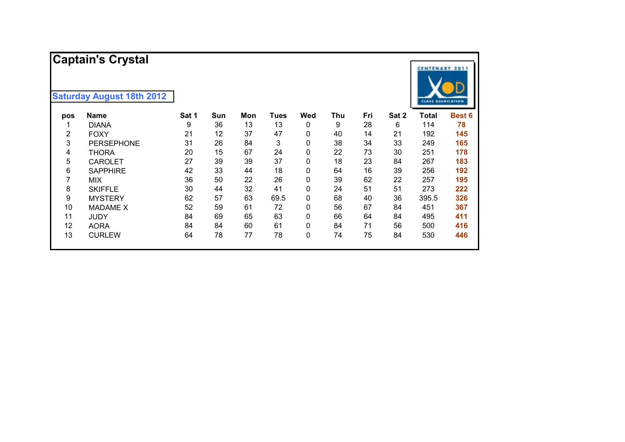|     | <b>Captain's Crystal</b>         |       |     |     |             |     |     |     |       | <b>CENTENARY 2011</b>    |        |
|-----|----------------------------------|-------|-----|-----|-------------|-----|-----|-----|-------|--------------------------|--------|
|     | <b>Saturday August 18th 2012</b> |       |     |     |             |     |     |     |       | <b>CLASS ASSOCIATION</b> |        |
| pos | <b>Name</b>                      | Sat 1 | Sun | Mon | <b>Tues</b> | Wed | Thu | Fri | Sat 2 | <b>Total</b>             | Best 6 |
|     | <b>DIANA</b>                     | 9     | 36  | 13  | 13          | 0   | 9   | 28  | 6     | 114                      | 78     |
| 2   | <b>FOXY</b>                      | 21    | 12  | 37  | 47          | 0   | 40  | 14  | 21    | 192                      | 145    |
| 3   | <b>PERSEPHONE</b>                | 31    | 26  | 84  | 3           | 0   | 38  | 34  | 33    | 249                      | 165    |
| 4   | THORA                            | 20    | 15  | 67  | 24          | 0   | 22  | 73  | 30    | 251                      | 178    |
| 5   | <b>CAROLET</b>                   | 27    | 39  | 39  | 37          | 0   | 18  | 23  | 84    | 267                      | 183    |
| 6   | <b>SAPPHIRE</b>                  | 42    | 33  | 44  | 18          | 0   | 64  | 16  | 39    | 256                      | 192    |
| 7   | MIX.                             | 36    | 50  | 22  | 26          | 0   | 39  | 62  | 22    | 257                      | 195    |
| 8   | <b>SKIFFLE</b>                   | 30    | 44  | 32  | 41          | 0   | 24  | 51  | 51    | 273                      | 222    |
| 9   | <b>MYSTERY</b>                   | 62    | 57  | 63  | 69.5        | 0   | 68  | 40  | 36    | 395.5                    | 326    |
| 10  | <b>MADAME X</b>                  | 52    | 59  | 61  | 72          | 0   | 56  | 67  | 84    | 451                      | 367    |
| 11  | <b>JUDY</b>                      | 84    | 69  | 65  | 63          | 0   | 66  | 64  | 84    | 495                      | 411    |
| 12  | <b>AORA</b>                      | 84    | 84  | 60  | 61          | 0   | 84  | 71  | 56    | 500                      | 416    |
| 13  | <b>CURLEW</b>                    | 64    | 78  | 77  | 78          | 0   | 74  | 75  | 84    | 530                      | 446    |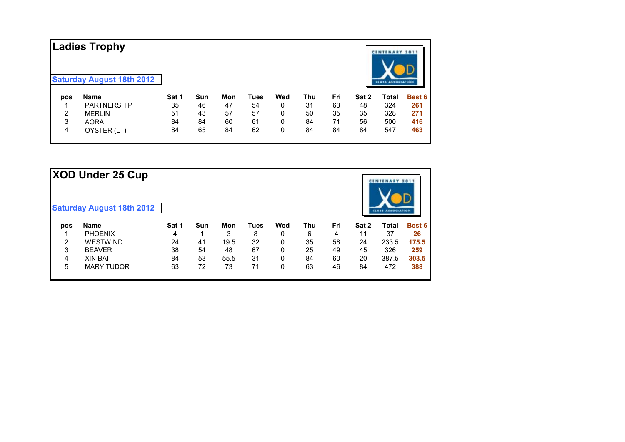| Ladies Trophy<br><b>Saturday August 18th 2012</b> |                    |       |     |     |      |     |     |     |       | <b>CENTENARY 2011</b><br><b>CLASS ASSOCIATION</b> |               |
|---------------------------------------------------|--------------------|-------|-----|-----|------|-----|-----|-----|-------|---------------------------------------------------|---------------|
| pos                                               | <b>Name</b>        | Sat 1 | Sun | Mon | Tues | Wed | Thu | Fri | Sat 2 | <b>Total</b>                                      | <b>Best 6</b> |
|                                                   | <b>PARTNERSHIP</b> | 35    | 46  | 47  | 54   | 0   | 31  | 63  | 48    | 324                                               | 261           |
| 2                                                 | <b>MERLIN</b>      | 51    | 43  | 57  | 57   | 0   | 50  | 35  | 35    | 328                                               | 271           |
| 3                                                 | <b>AORA</b>        | 84    | 84  | 60  | 61   | 0   | 84  | 71  | 56    | 500                                               | 416           |
| 4                                                 | OYSTER (LT)        | 84    | 65  | 84  | 62   | 0   | 84  | 84  | 84    | 547                                               | 463           |

|     | XOD Under 25 Cup                 |       |            |      |      |     |     |     |       | <b>CENTENARY 201</b>     |               |
|-----|----------------------------------|-------|------------|------|------|-----|-----|-----|-------|--------------------------|---------------|
|     | <b>Saturday August 18th 2012</b> |       |            |      |      |     |     |     |       | <b>CLAIS ASSOCIATION</b> |               |
| pos | <b>Name</b>                      | Sat 1 | <b>Sun</b> | Mon  | Tues | Wed | Thu | Fri | Sat 2 | Total                    | <b>Best 6</b> |
|     | <b>PHOENIX</b>                   | 4     | и          | 3    | 8    | 0   | 6   | 4   | 11    | 37                       | 26            |
| 2   | <b>WESTWIND</b>                  | 24    | 41         | 19.5 | 32   | 0   | 35  | 58  | 24    | 233.5                    | 175.5         |
| 3   | <b>BEAVER</b>                    | 38    | 54         | 48   | 67   | 0   | 25  | 49  | 45    | 326                      | 259           |
| 4   | <b>XIN BAI</b>                   | 84    | 53         | 55.5 | 31   | 0   | 84  | 60  | 20    | 387.5                    | 303.5         |
| 5   | <b>MARY TUDOR</b>                | 63    | 72         | 73   | 71   | 0   | 63  | 46  | 84    | 472                      | 388           |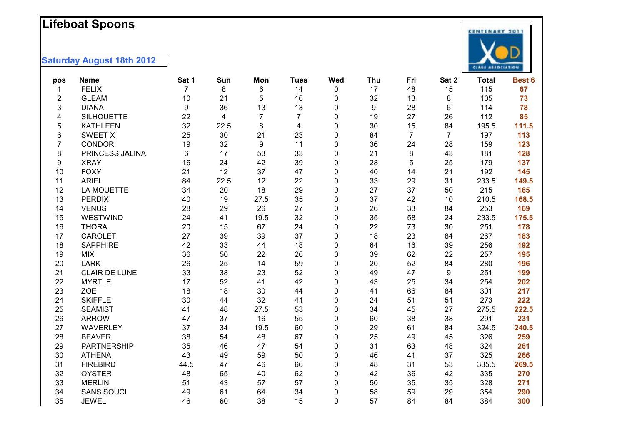#### **L i f ebo a t Spoons**

| pos | <b>Name</b>          | Sat 1 | Sun  | Mon  | <b>Tues</b> | Wed          | Thu | Fri            | Sat 2          | <b>Total</b> | Best 6 |
|-----|----------------------|-------|------|------|-------------|--------------|-----|----------------|----------------|--------------|--------|
| 1   | <b>FELIX</b>         | 7     | 8    | 6    | 14          | 0            | 17  | 48             | 15             | 115          | 67     |
| 2   | <b>GLEAM</b>         | 10    | 21   | 5    | 16          | 0            | 32  | 13             | 8              | 105          | 73     |
| 3   | <b>DIANA</b>         | 9     | 36   | 13   | 13          | 0            | 9   | 28             | 6              | 114          | 78     |
| 4   | <b>SILHOUETTE</b>    | 22    | 4    | 7    | 7           | 0            | 19  | 27             | 26             | 112          | 85     |
| 5   | <b>KATHLEEN</b>      | 32    | 22.5 | 8    | 4           | 0            | 30  | 15             | 84             | 195.5        | 111.5  |
| 6   | <b>SWEET X</b>       | 25    | 30   | 21   | 23          | $\mathbf 0$  | 84  | $\overline{7}$ | $\overline{7}$ | 197          | 113    |
| 7   | <b>CONDOR</b>        | 19    | 32   | 9    | 11          | 0            | 36  | 24             | 28             | 159          | 123    |
| 8   | PRINCESS JALINA      | 6     | 17   | 53   | 33          | 0            | 21  | 8              | 43             | 181          | 128    |
| 9   | <b>XRAY</b>          | 16    | 24   | 42   | 39          | 0            | 28  | 5              | 25             | 179          | 137    |
| 10  | <b>FOXY</b>          | 21    | 12   | 37   | 47          | $\mathbf 0$  | 40  | 14             | 21             | 192          | 145    |
| 11  | <b>ARIEL</b>         | 84    | 22.5 | 12   | 22          | 0            | 33  | 29             | 31             | 233.5        | 149.5  |
| 12  | <b>LA MOUETTE</b>    | 34    | 20   | 18   | 29          | 0            | 27  | 37             | 50             | 215          | 165    |
| 13  | <b>PERDIX</b>        | 40    | 19   | 27.5 | 35          | 0            | 37  | 42             | 10             | 210.5        | 168.5  |
| 14  | <b>VENUS</b>         | 28    | 29   | 26   | 27          | 0            | 26  | 33             | 84             | 253          | 169    |
| 15  | WESTWIND             | 24    | 41   | 19.5 | 32          | 0            | 35  | 58             | 24             | 233.5        | 175.5  |
| 16  | <b>THORA</b>         | 20    | 15   | 67   | 24          | $\mathbf{0}$ | 22  | 73             | 30             | 251          | 178    |
| 17  | <b>CAROLET</b>       | 27    | 39   | 39   | 37          | 0            | 18  | 23             | 84             | 267          | 183    |
| 18  | <b>SAPPHIRE</b>      | 42    | 33   | 44   | 18          | $\mathbf 0$  | 64  | 16             | 39             | 256          | 192    |
| 19  | <b>MIX</b>           | 36    | 50   | 22   | 26          | 0            | 39  | 62             | 22             | 257          | 195    |
| 20  | <b>LARK</b>          | 26    | 25   | 14   | 59          | 0            | 20  | 52             | 84             | 280          | 196    |
| 21  | <b>CLAIR DE LUNE</b> | 33    | 38   | 23   | 52          | 0            | 49  | 47             | 9              | 251          | 199    |
| 22  | <b>MYRTLE</b>        | 17    | 52   | 41   | 42          | $\mathbf 0$  | 43  | 25             | 34             | 254          | 202    |
| 23  | <b>ZOE</b>           | 18    | 18   | 30   | 44          | 0            | 41  | 66             | 84             | 301          | 217    |
| 24  | <b>SKIFFLE</b>       | 30    | 44   | 32   | 41          | 0            | 24  | 51             | 51             | 273          | 222    |
| 25  | <b>SEAMIST</b>       | 41    | 48   | 27.5 | 53          | 0            | 34  | 45             | 27             | 275.5        | 222.5  |
| 26  | <b>ARROW</b>         | 47    | 37   | 16   | 55          | $\mathbf{0}$ | 60  | 38             | 38             | 291          | 231    |
| 27  | <b>WAVERLEY</b>      | 37    | 34   | 19.5 | 60          | 0            | 29  | 61             | 84             | 324.5        | 240.5  |
| 28  | <b>BEAVER</b>        | 38    | 54   | 48   | 67          | 0            | 25  | 49             | 45             | 326          | 259    |
| 29  | <b>PARTNERSHIP</b>   | 35    | 46   | 47   | 54          | $\mathbf 0$  | 31  | 63             | 48             | 324          | 261    |
| 30  | <b>ATHENA</b>        | 43    | 49   | 59   | 50          | 0            | 46  | 41             | 37             | 325          | 266    |
| 31  | <b>FIREBIRD</b>      | 44.5  | 47   | 46   | 66          | $\mathbf 0$  | 48  | 31             | 53             | 335.5        | 269.5  |
| 32  | <b>OYSTER</b>        | 48    | 65   | 40   | 62          | 0            | 42  | 36             | 42             | 335          | 270    |
| 33  | <b>MERLIN</b>        | 51    | 43   | 57   | 57          | 0            | 50  | 35             | 35             | 328          | 271    |
| 34  | <b>SANS SOUCI</b>    | 49    | 61   | 64   | 34          | $\mathbf 0$  | 58  | 59             | 29             | 354          | 290    |
| 35  | <b>JEWEL</b>         | 46    | 60   | 38   | 15          | 0            | 57  | 84             | 84             | 384          | 300    |

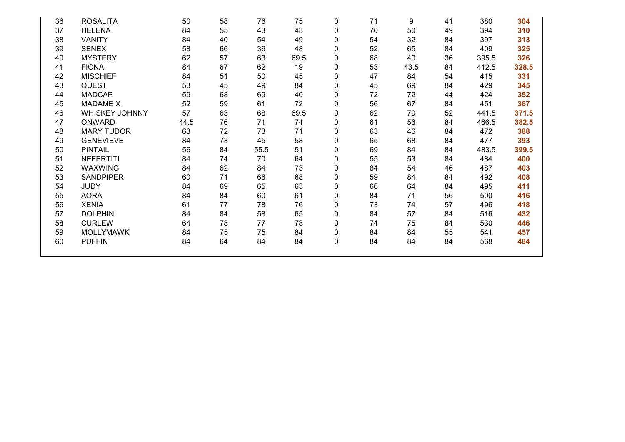| 36 | <b>ROSALITA</b>   | 50   | 58 | 76   | 75   | 0            | 71 | 9    | 41 | 380   | 304   |
|----|-------------------|------|----|------|------|--------------|----|------|----|-------|-------|
| 37 | <b>HELENA</b>     | 84   | 55 | 43   | 43   | 0            | 70 | 50   | 49 | 394   | 310   |
| 38 | <b>VANITY</b>     | 84   | 40 | 54   | 49   | 0            | 54 | 32   | 84 | 397   | 313   |
| 39 | <b>SENEX</b>      | 58   | 66 | 36   | 48   | $\Omega$     | 52 | 65   | 84 | 409   | 325   |
| 40 | <b>MYSTERY</b>    | 62   | 57 | 63   | 69.5 | 0            | 68 | 40   | 36 | 395.5 | 326   |
| 41 | <b>FIONA</b>      | 84   | 67 | 62   | 19   | 0            | 53 | 43.5 | 84 | 412.5 | 328.5 |
| 42 | <b>MISCHIEF</b>   | 84   | 51 | 50   | 45   | 0            | 47 | 84   | 54 | 415   | 331   |
| 43 | <b>QUEST</b>      | 53   | 45 | 49   | 84   | 0            | 45 | 69   | 84 | 429   | 345   |
| 44 | <b>MADCAP</b>     | 59   | 68 | 69   | 40   | 0            | 72 | 72   | 44 | 424   | 352   |
| 45 | <b>MADAME X</b>   | 52   | 59 | 61   | 72   | $\mathbf{0}$ | 56 | 67   | 84 | 451   | 367   |
| 46 | WHISKEY JOHNNY    | 57   | 63 | 68   | 69.5 | $\Omega$     | 62 | 70   | 52 | 441.5 | 371.5 |
| 47 | <b>ONWARD</b>     | 44.5 | 76 | 71   | 74   | 0            | 61 | 56   | 84 | 466.5 | 382.5 |
| 48 | <b>MARY TUDOR</b> | 63   | 72 | 73   | 71   | 0            | 63 | 46   | 84 | 472   | 388   |
| 49 | <b>GENEVIEVE</b>  | 84   | 73 | 45   | 58   | 0            | 65 | 68   | 84 | 477   | 393   |
| 50 | <b>PINTAIL</b>    | 56   | 84 | 55.5 | 51   | 0            | 69 | 84   | 84 | 483.5 | 399.5 |
| 51 | <b>NEFERTITI</b>  | 84   | 74 | 70   | 64   | 0            | 55 | 53   | 84 | 484   | 400   |
| 52 | <b>WAXWING</b>    | 84   | 62 | 84   | 73   | $\Omega$     | 84 | 54   | 46 | 487   | 403   |
| 53 | <b>SANDPIPER</b>  | 60   | 71 | 66   | 68   | 0            | 59 | 84   | 84 | 492   | 408   |
| 54 | <b>JUDY</b>       | 84   | 69 | 65   | 63   | 0            | 66 | 64   | 84 | 495   | 411   |
| 55 | <b>AORA</b>       | 84   | 84 | 60   | 61   | 0            | 84 | 71   | 56 | 500   | 416   |
| 56 | <b>XENIA</b>      | 61   | 77 | 78   | 76   | 0            | 73 | 74   | 57 | 496   | 418   |
| 57 | <b>DOLPHIN</b>    | 84   | 84 | 58   | 65   | 0            | 84 | 57   | 84 | 516   | 432   |
| 58 | <b>CURLEW</b>     | 64   | 78 | 77   | 78   | 0            | 74 | 75   | 84 | 530   | 446   |
| 59 | <b>MOLLYMAWK</b>  | 84   | 75 | 75   | 84   | $\mathbf{0}$ | 84 | 84   | 55 | 541   | 457   |
| 60 | <b>PUFFIN</b>     | 84   | 64 | 84   | 84   | $\mathbf 0$  | 84 | 84   | 84 | 568   | 484   |
|    |                   |      |    |      |      |              |    |      |    |       |       |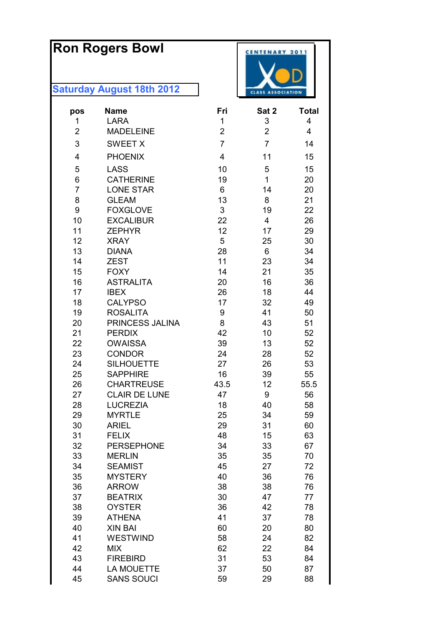# **Ron Rogers Bowl**

| pos<br>1       | <b>Name</b><br><b>LARA</b>         | Fri<br>1       | Sat 2<br>3              | <b>Total</b><br>4 |
|----------------|------------------------------------|----------------|-------------------------|-------------------|
| $\overline{2}$ | <b>MADELEINE</b>                   | $\overline{2}$ | $\overline{2}$          | 4                 |
| 3              | <b>SWEET X</b>                     | $\overline{7}$ | $\overline{7}$          | 14                |
| 4              | <b>PHOENIX</b>                     | 4              | 11                      | 15                |
| 5              | <b>LASS</b>                        | 10             | 5                       | 15                |
| 6              | <b>CATHERINE</b>                   | 19             | $\mathbf{1}$            | 20                |
| 7              | <b>LONE STAR</b>                   | 6              | 14                      | 20                |
| 8              | <b>GLEAM</b>                       | 13             | 8                       | 21                |
| 9              | <b>FOXGLOVE</b>                    | 3              | 19                      | 22                |
| 10             | <b>EXCALIBUR</b>                   | 22             | $\overline{\mathbf{4}}$ | 26                |
| 11             | <b>ZEPHYR</b>                      | 12             | 17                      | 29                |
| 12             | <b>XRAY</b>                        | 5              | 25                      | 30                |
| 13             | <b>DIANA</b>                       | 28             | 6                       | 34                |
| 14             | <b>ZEST</b>                        | 11             | 23                      | 34                |
| 15             | <b>FOXY</b>                        | 14             | 21                      | 35                |
| 16             | <b>ASTRALITA</b>                   | 20             | 16                      | 36                |
| 17             | <b>IBEX</b>                        | 26             | 18                      | 44                |
| 18             | <b>CALYPSO</b>                     | 17             | 32                      | 49                |
| 19             | <b>ROSALITA</b>                    | 9              | 41                      | 50                |
| 20             | PRINCESS JALINA                    | 8              | 43                      | 51                |
| 21             | <b>PERDIX</b>                      | 42             | 10                      | 52                |
| 22             | <b>OWAISSA</b>                     | 39             | 13                      | 52                |
| 23             | <b>CONDOR</b>                      | 24             | 28                      | 52                |
| 24             | <b>SILHOUETTE</b>                  | 27             | 26                      | 53                |
| 25             | <b>SAPPHIRE</b>                    | 16             | 39                      | 55                |
| 26             | <b>CHARTREUSE</b>                  | 43.5           | 12                      | 55.5              |
| 27             | <b>CLAIR DE LUNE</b>               | 47             | 9                       | 56                |
| 28             | <b>LUCREZIA</b>                    | 18             | 40                      | 58                |
| 29             | <b>MYRTLE</b>                      | 25             | 34                      | 59                |
| 30             | <b>ARIEL</b>                       | 29             | 31                      | 60                |
| 31             | <b>FELIX</b>                       | 48             | 15                      | 63                |
| 32<br>33       | <b>PERSEPHONE</b><br><b>MERLIN</b> | 34<br>35       | 33                      | 67<br>70          |
| 34             | <b>SEAMIST</b>                     | 45             | 35<br>27                | 72                |
| 35             | <b>MYSTERY</b>                     | 40             | 36                      | 76                |
| 36             | <b>ARROW</b>                       | 38             | 38                      | 76                |
| 37             | <b>BEATRIX</b>                     | 30             | 47                      | 77                |
| 38             | <b>OYSTER</b>                      | 36             | 42                      | 78                |
| 39             | <b>ATHENA</b>                      | 41             | 37                      | 78                |
| 40             | <b>XIN BAI</b>                     | 60             | 20                      | 80                |
| 41             | <b>WESTWIND</b>                    | 58             | 24                      | 82                |
| 42             | <b>MIX</b>                         | 62             | 22                      | 84                |
| 43             | <b>FIREBIRD</b>                    | 31             | 53                      | 84                |
| 44             | <b>LA MOUETTE</b>                  | 37             | 50                      | 87                |
| 45             | <b>SANS SOUCI</b>                  | 59             | 29                      | 88                |

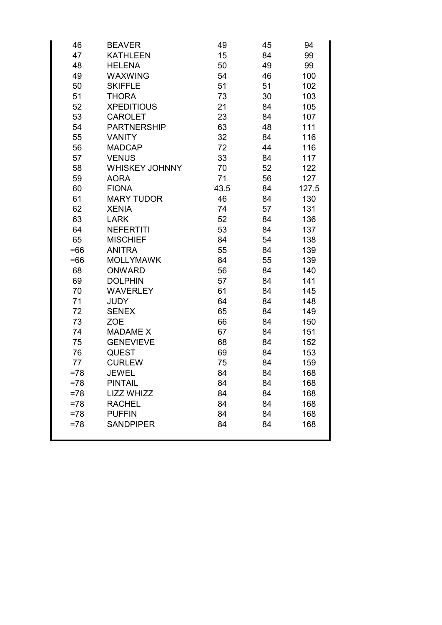| 46     | <b>BEAVER</b>         | 49   | 45 | 94    |
|--------|-----------------------|------|----|-------|
| 47     | <b>KATHLEEN</b>       | 15   | 84 | 99    |
| 48     | <b>HELENA</b>         | 50   | 49 | 99    |
| 49     | <b>WAXWING</b>        | 54   | 46 | 100   |
| 50     | <b>SKIFFLE</b>        | 51   | 51 | 102   |
| 51     | <b>THORA</b>          | 73   | 30 | 103   |
| 52     | <b>XPEDITIOUS</b>     | 21   | 84 | 105   |
| 53     | <b>CAROLET</b>        | 23   | 84 | 107   |
| 54     | <b>PARTNERSHIP</b>    | 63   | 48 | 111   |
| 55     | <b>VANITY</b>         | 32   | 84 | 116   |
| 56     | <b>MADCAP</b>         | 72   | 44 | 116   |
| 57     | <b>VENUS</b>          | 33   | 84 | 117   |
| 58     | <b>WHISKEY JOHNNY</b> | 70   | 52 | 122   |
| 59     | <b>AORA</b>           | 71   | 56 | 127   |
| 60     | <b>FIONA</b>          | 43.5 | 84 | 127.5 |
| 61     | <b>MARY TUDOR</b>     | 46   | 84 | 130   |
| 62     | <b>XENIA</b>          | 74   | 57 | 131   |
| 63     | <b>LARK</b>           | 52   | 84 | 136   |
| 64     | <b>NEFERTITI</b>      | 53   | 84 | 137   |
| 65     | <b>MISCHIEF</b>       | 84   | 54 | 138   |
| $=66$  | <b>ANITRA</b>         | 55   | 84 | 139   |
| $=66$  | <b>MOLLYMAWK</b>      | 84   | 55 | 139   |
| 68     | <b>ONWARD</b>         | 56   | 84 | 140   |
| 69     | <b>DOLPHIN</b>        | 57   | 84 | 141   |
| 70     | <b>WAVERLEY</b>       | 61   | 84 | 145   |
| 71     | <b>JUDY</b>           | 64   | 84 | 148   |
| 72     | <b>SENEX</b>          | 65   | 84 | 149   |
| 73     | <b>ZOE</b>            | 66   | 84 | 150   |
| 74     | <b>MADAME X</b>       | 67   | 84 | 151   |
| 75     | <b>GENEVIEVE</b>      | 68   | 84 | 152   |
| 76     | <b>QUEST</b>          | 69   | 84 | 153   |
| 77     | <b>CURLEW</b>         | 75   | 84 | 159   |
| =78    | <b>JEWEL</b>          | 84   | 84 | 168   |
| $= 78$ | <b>PINTAIL</b>        | 84   | 84 | 168   |
| $= 78$ | <b>LIZZ WHIZZ</b>     | 84   | 84 | 168   |
| $= 78$ | <b>RACHEL</b>         | 84   | 84 | 168   |
| $=78$  | <b>PUFFIN</b>         | 84   | 84 | 168   |
| $= 78$ | <b>SANDPIPER</b>      | 84   | 84 | 168   |
|        |                       |      |    |       |
|        |                       |      |    |       |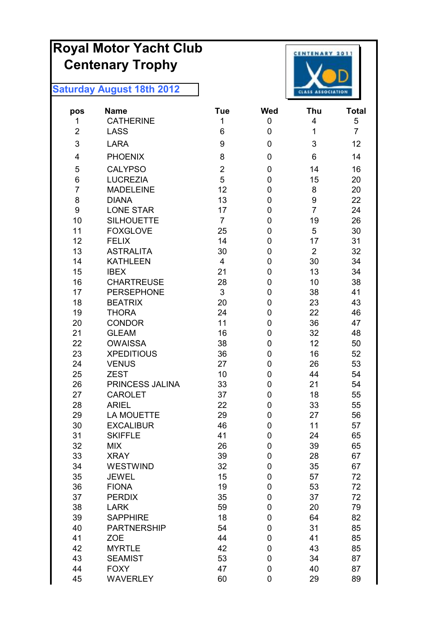# **Royal Motor Yacht Club Centenary Trophy**



| pos            | Name               | <b>Tue</b>     | <b>Wed</b>       | Thu            | Total          |
|----------------|--------------------|----------------|------------------|----------------|----------------|
| 1              | <b>CATHERINE</b>   | 1              | 0                | 4              | 5              |
| $\overline{2}$ | <b>LASS</b>        | 6              | 0                | $\mathbf 1$    | $\overline{7}$ |
| 3              | <b>LARA</b>        | 9              | $\boldsymbol{0}$ | 3              | 12             |
| 4              | <b>PHOENIX</b>     | 8              | 0                | 6              | 14             |
| 5              | <b>CALYPSO</b>     | $\overline{2}$ | 0                | 14             | 16             |
| 6              | <b>LUCREZIA</b>    | 5              | 0                | 15             | 20             |
| $\overline{7}$ | <b>MADELEINE</b>   | 12             | $\boldsymbol{0}$ | 8              | 20             |
| 8              | <b>DIANA</b>       | 13             | $\boldsymbol{0}$ | 9              | 22             |
| 9              | <b>LONE STAR</b>   | 17             | $\mathbf 0$      | $\overline{7}$ | 24             |
| 10             | <b>SILHOUETTE</b>  | $\overline{7}$ | $\mathbf 0$      | 19             | 26             |
| 11             | <b>FOXGLOVE</b>    | 25             | $\mathbf 0$      | 5              | 30             |
| 12             | <b>FELIX</b>       | 14             | 0                | 17             | 31             |
| 13             | <b>ASTRALITA</b>   | 30             | $\boldsymbol{0}$ | $\overline{2}$ | 32             |
| 14             | <b>KATHLEEN</b>    | $\overline{4}$ | $\boldsymbol{0}$ | 30             | 34             |
| 15             | <b>IBEX</b>        | 21             | $\boldsymbol{0}$ | 13             | 34             |
| 16             | <b>CHARTREUSE</b>  | 28             | $\mathbf 0$      | 10             | 38             |
| 17             | <b>PERSEPHONE</b>  | 3              | $\boldsymbol{0}$ | 38             | 41             |
| 18             | <b>BEATRIX</b>     | 20             | $\boldsymbol{0}$ | 23             | 43             |
| 19             | <b>THORA</b>       | 24             | 0                | 22             | 46             |
| 20             | <b>CONDOR</b>      | 11             | 0                | 36             | 47             |
| 21             | <b>GLEAM</b>       | 16             | $\mathbf 0$      | 32             | 48             |
| 22             | <b>OWAISSA</b>     | 38             | 0                | 12             | 50             |
| 23             | <b>XPEDITIOUS</b>  | 36             | $\mathbf 0$      | 16             | 52             |
| 24             | <b>VENUS</b>       | 27             | $\boldsymbol{0}$ | 26             | 53             |
| 25             | <b>ZEST</b>        | 10             | $\boldsymbol{0}$ | 44             | 54             |
| 26             | PRINCESS JALINA    | 33             | 0                | 21             | 54             |
| 27             | <b>CAROLET</b>     | 37             | $\boldsymbol{0}$ | 18             | 55             |
| 28             | <b>ARIEL</b>       | 22             | $\boldsymbol{0}$ | 33             | 55             |
| 29             | <b>LA MOUETTE</b>  | 29             | 0                | 27             | 56             |
| 30             | <b>EXCALIBUR</b>   | 46             | 0                | 11             | 57             |
| 31             | <b>SKIFFLE</b>     | 41             | 0                | 24             | 65             |
| 32             | <b>MIX</b>         | 26             | $\pmb{0}$        | 39             | 65             |
| 33             | <b>XRAY</b>        | 39             | $\pmb{0}$        | 28             | 67             |
| 34             | <b>WESTWIND</b>    | 32             | $\pmb{0}$        | 35             | 67             |
| 35             | <b>JEWEL</b>       | 15             | $\boldsymbol{0}$ | 57             | 72             |
| 36             | <b>FIONA</b>       | 19             | $\boldsymbol{0}$ | 53             | 72             |
| 37             | <b>PERDIX</b>      | 35             | $\boldsymbol{0}$ | 37             | 72             |
| 38             | <b>LARK</b>        | 59             | $\pmb{0}$        | 20             | 79             |
| 39             | <b>SAPPHIRE</b>    | 18             | $\boldsymbol{0}$ | 64             | 82             |
| 40             | <b>PARTNERSHIP</b> | 54             | $\boldsymbol{0}$ | 31             | 85             |
| 41             | <b>ZOE</b>         | 44             | $\pmb{0}$        | 41             | 85             |
| 42             | <b>MYRTLE</b>      | 42             | $\boldsymbol{0}$ | 43             | 85             |
| 43             | <b>SEAMIST</b>     | 53             | $\boldsymbol{0}$ | 34             | 87             |
| 44             | <b>FOXY</b>        | 47             | $\pmb{0}$        | 40             | 87             |
| 45             | <b>WAVERLEY</b>    | 60             | $\boldsymbol{0}$ | 29             | 89             |